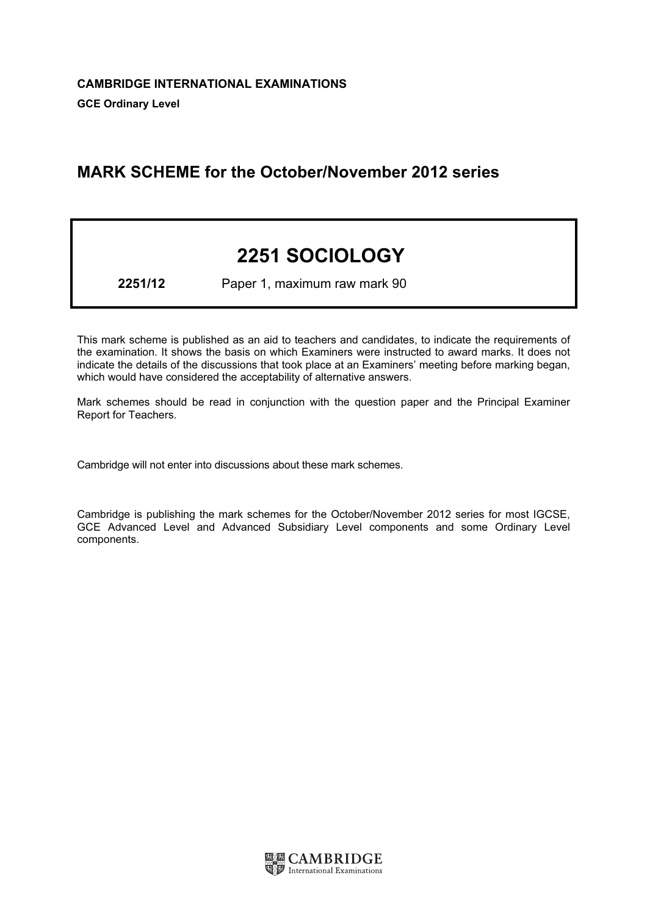# MARK SCHEME for the October/November 2012 series

# 2251 SOCIOLOGY

2251/12 Paper 1, maximum raw mark 90

This mark scheme is published as an aid to teachers and candidates, to indicate the requirements of the examination. It shows the basis on which Examiners were instructed to award marks. It does not indicate the details of the discussions that took place at an Examiners' meeting before marking began, which would have considered the acceptability of alternative answers.

Mark schemes should be read in conjunction with the question paper and the Principal Examiner Report for Teachers.

Cambridge will not enter into discussions about these mark schemes.

Cambridge is publishing the mark schemes for the October/November 2012 series for most IGCSE, GCE Advanced Level and Advanced Subsidiary Level components and some Ordinary Level components.

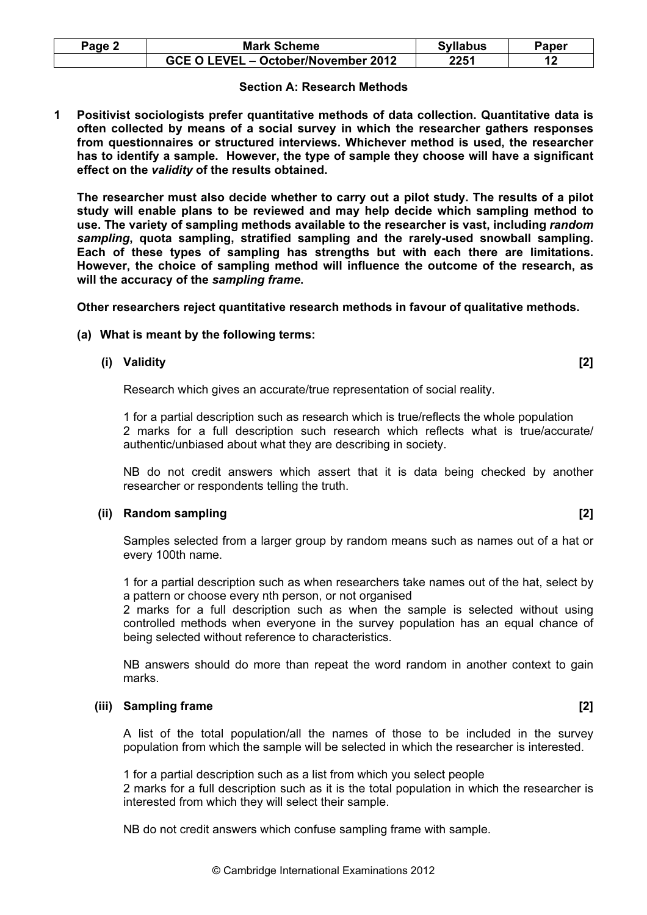| <b>Mark Scheme</b>                  | <b>Syllabus</b> | Paper |
|-------------------------------------|-----------------|-------|
| GCE O LEVEL - October/November 2012 | 2251            |       |

#### Section A: Research Methods

1 Positivist sociologists prefer quantitative methods of data collection. Quantitative data is often collected by means of a social survey in which the researcher gathers responses from questionnaires or structured interviews. Whichever method is used, the researcher has to identify a sample. However, the type of sample they choose will have a significant effect on the validity of the results obtained.

 The researcher must also decide whether to carry out a pilot study. The results of a pilot study will enable plans to be reviewed and may help decide which sampling method to use. The variety of sampling methods available to the researcher is vast, including random sampling, quota sampling, stratified sampling and the rarely-used snowball sampling. Each of these types of sampling has strengths but with each there are limitations. However, the choice of sampling method will influence the outcome of the research, as will the accuracy of the sampling frame.

Other researchers reject quantitative research methods in favour of qualitative methods.

# (a) What is meant by the following terms:

# (i) Validity [2]

Research which gives an accurate/true representation of social reality.

 1 for a partial description such as research which is true/reflects the whole population 2 marks for a full description such research which reflects what is true/accurate/ authentic/unbiased about what they are describing in society.

 NB do not credit answers which assert that it is data being checked by another researcher or respondents telling the truth.

#### (ii) Random sampling **[2]** and the control of the control of the control of the control of the control of the control of the control of the control of the control of the control of the control of the control of the control

 Samples selected from a larger group by random means such as names out of a hat or every 100th name.

 1 for a partial description such as when researchers take names out of the hat, select by a pattern or choose every nth person, or not organised

 2 marks for a full description such as when the sample is selected without using controlled methods when everyone in the survey population has an equal chance of being selected without reference to characteristics.

 NB answers should do more than repeat the word random in another context to gain marks.

#### (iii) Sampling frame [2]

 A list of the total population/all the names of those to be included in the survey population from which the sample will be selected in which the researcher is interested.

1 for a partial description such as a list from which you select people

 2 marks for a full description such as it is the total population in which the researcher is interested from which they will select their sample.

NB do not credit answers which confuse sampling frame with sample.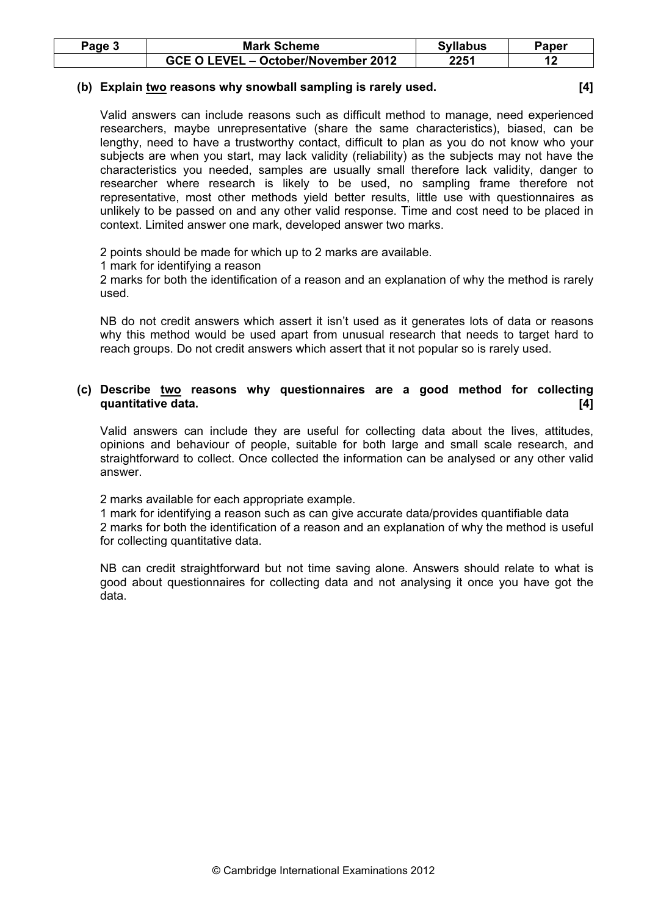| Page 5 | <b>Mark Scheme</b>                  | <b>Syllabus</b> | Paper |
|--------|-------------------------------------|-----------------|-------|
|        | GCE O LEVEL - October/November 2012 | 2251            |       |

#### (b) Explain two reasons why snowball sampling is rarely used. [4]

 Valid answers can include reasons such as difficult method to manage, need experienced researchers, maybe unrepresentative (share the same characteristics), biased, can be lengthy, need to have a trustworthy contact, difficult to plan as you do not know who your subjects are when you start, may lack validity (reliability) as the subjects may not have the characteristics you needed, samples are usually small therefore lack validity, danger to researcher where research is likely to be used, no sampling frame therefore not representative, most other methods yield better results, little use with questionnaires as unlikely to be passed on and any other valid response. Time and cost need to be placed in context. Limited answer one mark, developed answer two marks.

2 points should be made for which up to 2 marks are available.

1 mark for identifying a reason

 2 marks for both the identification of a reason and an explanation of why the method is rarely used.

 NB do not credit answers which assert it isn't used as it generates lots of data or reasons why this method would be used apart from unusual research that needs to target hard to reach groups. Do not credit answers which assert that it not popular so is rarely used.

 (c) Describe two reasons why questionnaires are a good method for collecting quantitative data. **Example 19** and the contract of the contract of the contract of the contract of the contract of the contract of the contract of the contract of the contract of the contract of the contract of the contra

 Valid answers can include they are useful for collecting data about the lives, attitudes, opinions and behaviour of people, suitable for both large and small scale research, and straightforward to collect. Once collected the information can be analysed or any other valid answer.

2 marks available for each appropriate example.

 1 mark for identifying a reason such as can give accurate data/provides quantifiable data 2 marks for both the identification of a reason and an explanation of why the method is useful for collecting quantitative data.

 NB can credit straightforward but not time saving alone. Answers should relate to what is good about questionnaires for collecting data and not analysing it once you have got the data.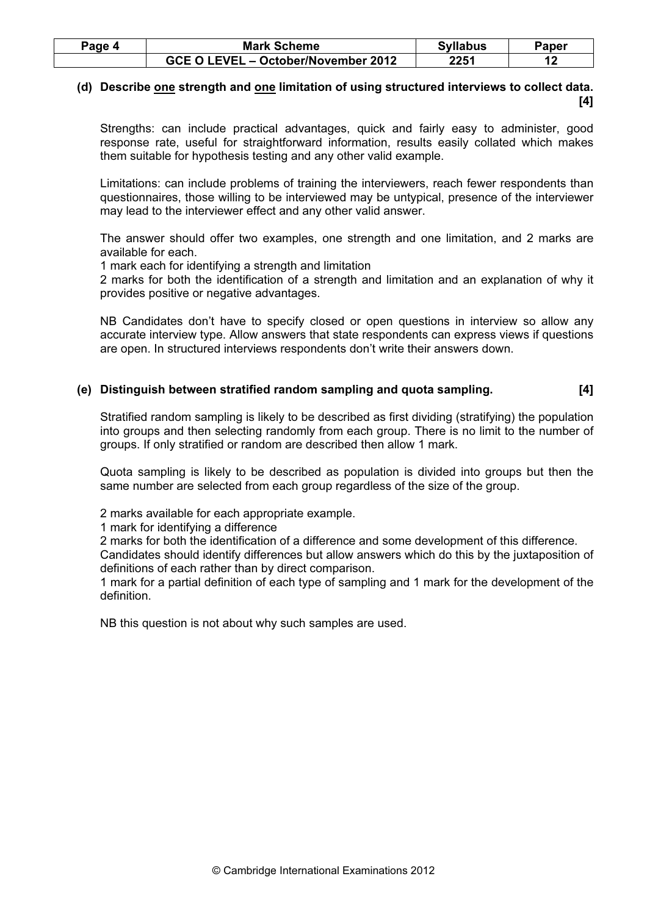| Page 4 | <b>Mark Scheme</b>                  | <b>Syllabus</b> | Paper |
|--------|-------------------------------------|-----------------|-------|
|        | GCE O LEVEL - October/November 2012 | 2251            |       |

# (d) Describe one strength and one limitation of using structured interviews to collect data.  $[4]$

 Strengths: can include practical advantages, quick and fairly easy to administer, good response rate, useful for straightforward information, results easily collated which makes them suitable for hypothesis testing and any other valid example.

 Limitations: can include problems of training the interviewers, reach fewer respondents than questionnaires, those willing to be interviewed may be untypical, presence of the interviewer may lead to the interviewer effect and any other valid answer.

 The answer should offer two examples, one strength and one limitation, and 2 marks are available for each.

1 mark each for identifying a strength and limitation

 2 marks for both the identification of a strength and limitation and an explanation of why it provides positive or negative advantages.

 NB Candidates don't have to specify closed or open questions in interview so allow any accurate interview type. Allow answers that state respondents can express views if questions are open. In structured interviews respondents don't write their answers down.

# (e) Distinguish between stratified random sampling and quota sampling. [4]

 Stratified random sampling is likely to be described as first dividing (stratifying) the population into groups and then selecting randomly from each group. There is no limit to the number of groups. If only stratified or random are described then allow 1 mark.

 Quota sampling is likely to be described as population is divided into groups but then the same number are selected from each group regardless of the size of the group.

2 marks available for each appropriate example.

1 mark for identifying a difference

2 marks for both the identification of a difference and some development of this difference.

 Candidates should identify differences but allow answers which do this by the juxtaposition of definitions of each rather than by direct comparison.

 1 mark for a partial definition of each type of sampling and 1 mark for the development of the definition.

NB this question is not about why such samples are used.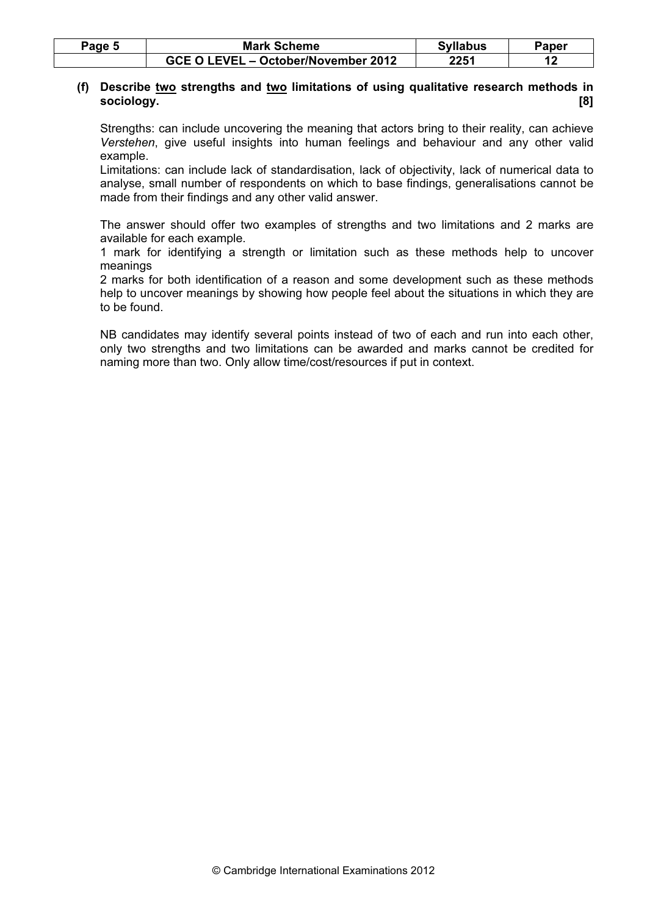| Page 5 | <b>Mark Scheme</b>                  | <b>Syllabus</b> | Paper |
|--------|-------------------------------------|-----------------|-------|
|        | GCE O LEVEL - October/November 2012 | 2251            |       |

# (f) Describe two strengths and two limitations of using qualitative research methods in sociology. [8]

 Strengths: can include uncovering the meaning that actors bring to their reality, can achieve Verstehen, give useful insights into human feelings and behaviour and any other valid example.

 Limitations: can include lack of standardisation, lack of objectivity, lack of numerical data to analyse, small number of respondents on which to base findings, generalisations cannot be made from their findings and any other valid answer.

 The answer should offer two examples of strengths and two limitations and 2 marks are available for each example.

 1 mark for identifying a strength or limitation such as these methods help to uncover meanings

 2 marks for both identification of a reason and some development such as these methods help to uncover meanings by showing how people feel about the situations in which they are to be found.

 NB candidates may identify several points instead of two of each and run into each other, only two strengths and two limitations can be awarded and marks cannot be credited for naming more than two. Only allow time/cost/resources if put in context.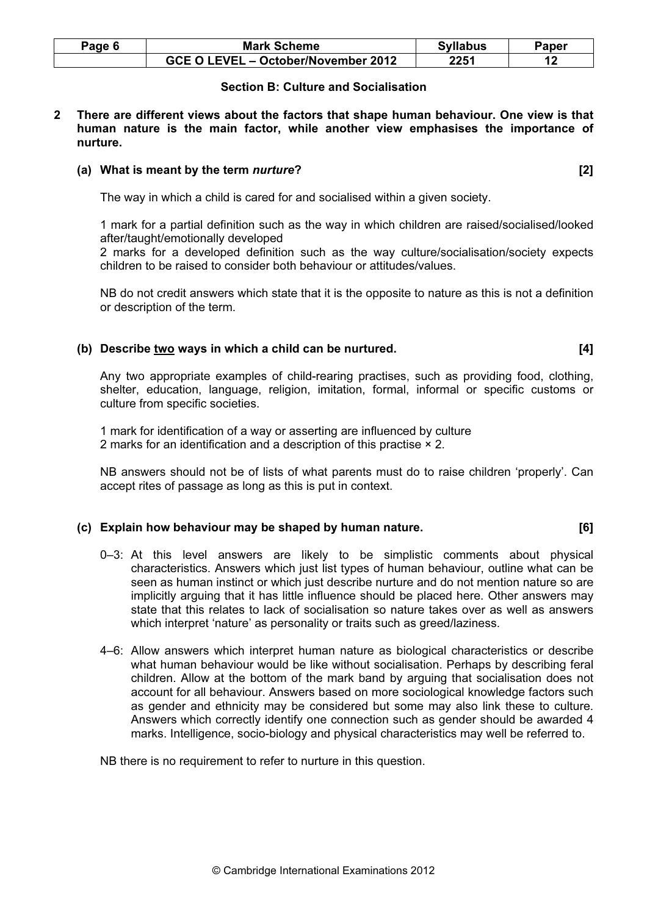| Page 6 | <b>Mark Scheme</b>                  | <b>Syllabus</b> | Paper |
|--------|-------------------------------------|-----------------|-------|
|        | GCE O LEVEL - October/November 2012 | 2251            |       |

# Section B: Culture and Socialisation

2 There are different views about the factors that shape human behaviour. One view is that human nature is the main factor, while another view emphasises the importance of nurture.

#### (a) What is meant by the term *nurture*? [2]

The way in which a child is cared for and socialised within a given society.

 1 mark for a partial definition such as the way in which children are raised/socialised/looked after/taught/emotionally developed

 2 marks for a developed definition such as the way culture/socialisation/society expects children to be raised to consider both behaviour or attitudes/values.

 NB do not credit answers which state that it is the opposite to nature as this is not a definition or description of the term.

# (b) Describe  $\underline{two}$  ways in which a child can be nurtured.  $[4]$

 Any two appropriate examples of child-rearing practises, such as providing food, clothing, shelter, education, language, religion, imitation, formal, informal or specific customs or culture from specific societies.

 1 mark for identification of a way or asserting are influenced by culture 2 marks for an identification and a description of this practise × 2.

 NB answers should not be of lists of what parents must do to raise children 'properly'. Can accept rites of passage as long as this is put in context.

#### (c) Explain how behaviour may be shaped by human nature. [6]

- 0–3: At this level answers are likely to be simplistic comments about physical characteristics. Answers which just list types of human behaviour, outline what can be seen as human instinct or which just describe nurture and do not mention nature so are implicitly arguing that it has little influence should be placed here. Other answers may state that this relates to lack of socialisation so nature takes over as well as answers which interpret 'nature' as personality or traits such as greed/laziness.
- 4–6: Allow answers which interpret human nature as biological characteristics or describe what human behaviour would be like without socialisation. Perhaps by describing feral children. Allow at the bottom of the mark band by arguing that socialisation does not account for all behaviour. Answers based on more sociological knowledge factors such as gender and ethnicity may be considered but some may also link these to culture. Answers which correctly identify one connection such as gender should be awarded 4 marks. Intelligence, socio-biology and physical characteristics may well be referred to.

NB there is no requirement to refer to nurture in this question.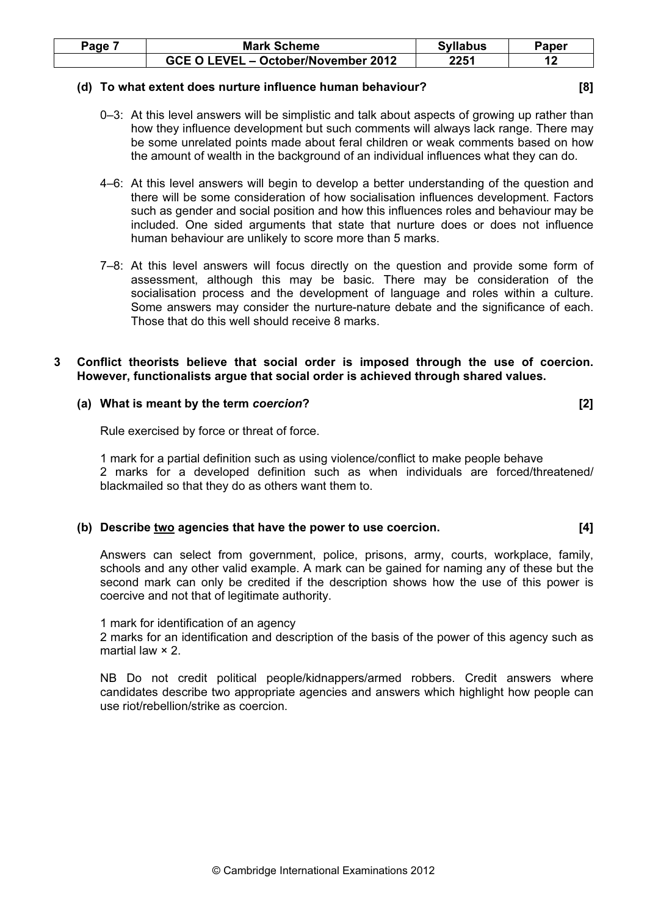| Page | <b>Mark Scheme</b>                  | <b>Syllabus</b> | Paper |
|------|-------------------------------------|-----------------|-------|
|      | GCE O LEVEL - October/November 2012 | 2251            |       |

#### (d) To what extent does nurture influence human behaviour? [8]

- 0–3: At this level answers will be simplistic and talk about aspects of growing up rather than how they influence development but such comments will always lack range. There may be some unrelated points made about feral children or weak comments based on how the amount of wealth in the background of an individual influences what they can do.
- 4–6: At this level answers will begin to develop a better understanding of the question and there will be some consideration of how socialisation influences development. Factors such as gender and social position and how this influences roles and behaviour may be included. One sided arguments that state that nurture does or does not influence human behaviour are unlikely to score more than 5 marks.
- 7–8: At this level answers will focus directly on the question and provide some form of assessment, although this may be basic. There may be consideration of the socialisation process and the development of language and roles within a culture. Some answers may consider the nurture-nature debate and the significance of each. Those that do this well should receive 8 marks.

#### 3 Conflict theorists believe that social order is imposed through the use of coercion. However, functionalists argue that social order is achieved through shared values.

# (a) What is meant by the term coercion? [2]

Rule exercised by force or threat of force.

 1 mark for a partial definition such as using violence/conflict to make people behave 2 marks for a developed definition such as when individuals are forced/threatened/ blackmailed so that they do as others want them to.

#### (b) Describe two agencies that have the power to use coercion. [4]

 Answers can select from government, police, prisons, army, courts, workplace, family, schools and any other valid example. A mark can be gained for naming any of these but the second mark can only be credited if the description shows how the use of this power is coercive and not that of legitimate authority.

#### 1 mark for identification of an agency

 2 marks for an identification and description of the basis of the power of this agency such as martial law × 2.

 NB Do not credit political people/kidnappers/armed robbers. Credit answers where candidates describe two appropriate agencies and answers which highlight how people can use riot/rebellion/strike as coercion.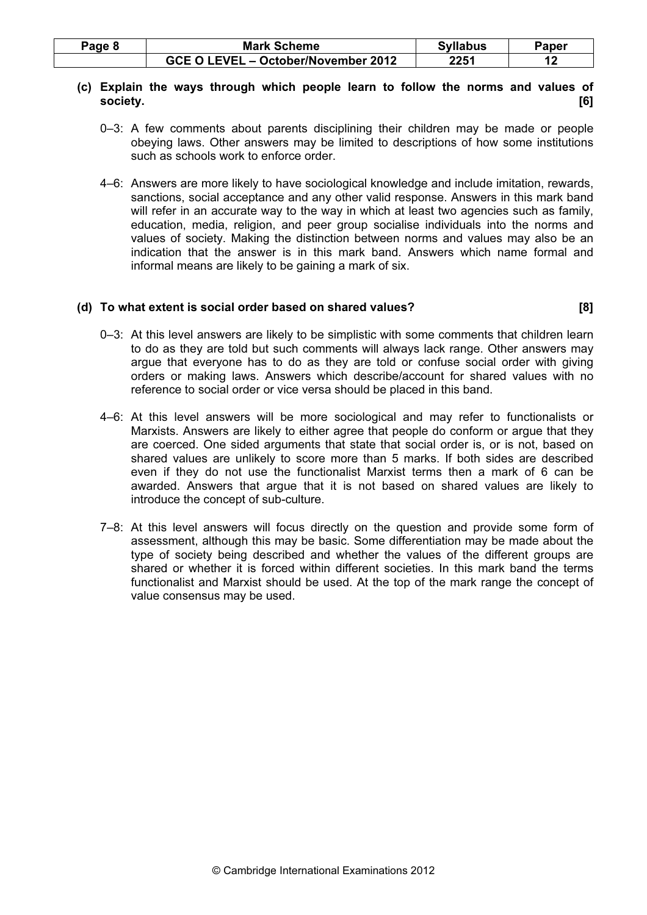| Page 8 | <b>Mark Scheme</b>                  | <b>Syllabus</b> | Paper |
|--------|-------------------------------------|-----------------|-------|
|        | GCE O LEVEL - October/November 2012 | 2251            |       |

# (c) Explain the ways through which people learn to follow the norms and values of society. [6]

- 0–3: A few comments about parents disciplining their children may be made or people obeying laws. Other answers may be limited to descriptions of how some institutions such as schools work to enforce order.
- 4–6: Answers are more likely to have sociological knowledge and include imitation, rewards, sanctions, social acceptance and any other valid response. Answers in this mark band will refer in an accurate way to the way in which at least two agencies such as family, education, media, religion, and peer group socialise individuals into the norms and values of society. Making the distinction between norms and values may also be an indication that the answer is in this mark band. Answers which name formal and informal means are likely to be gaining a mark of six.

# (d) To what extent is social order based on shared values? [8]

- 0–3: At this level answers are likely to be simplistic with some comments that children learn to do as they are told but such comments will always lack range. Other answers may argue that everyone has to do as they are told or confuse social order with giving orders or making laws. Answers which describe/account for shared values with no reference to social order or vice versa should be placed in this band.
- 4–6: At this level answers will be more sociological and may refer to functionalists or Marxists. Answers are likely to either agree that people do conform or argue that they are coerced. One sided arguments that state that social order is, or is not, based on shared values are unlikely to score more than 5 marks. If both sides are described even if they do not use the functionalist Marxist terms then a mark of 6 can be awarded. Answers that argue that it is not based on shared values are likely to introduce the concept of sub-culture.
- 7–8: At this level answers will focus directly on the question and provide some form of assessment, although this may be basic. Some differentiation may be made about the type of society being described and whether the values of the different groups are shared or whether it is forced within different societies. In this mark band the terms functionalist and Marxist should be used. At the top of the mark range the concept of value consensus may be used.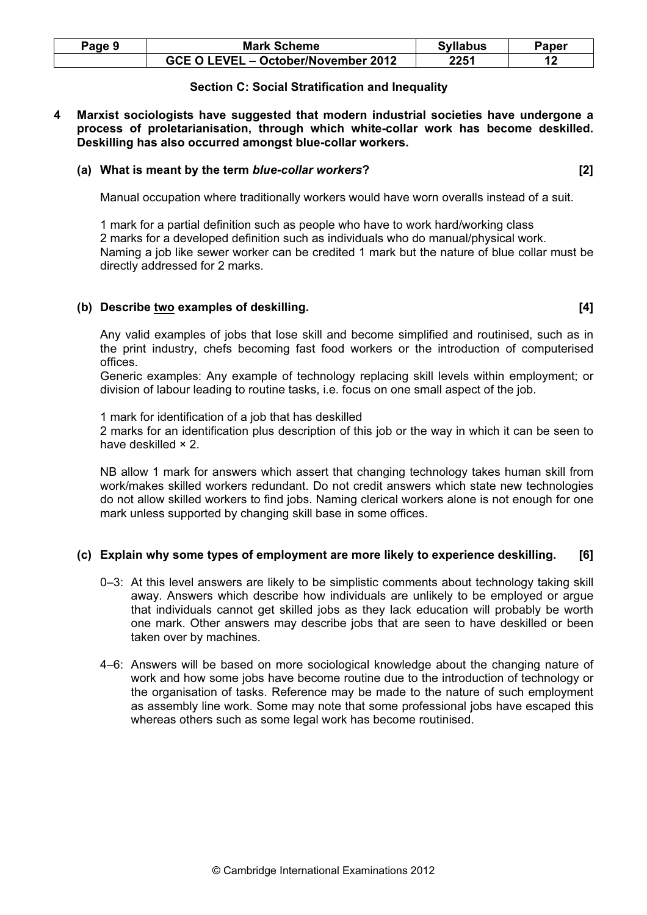| Page 9 | <b>Mark Scheme</b>                  | <b>Syllabus</b> | Paper |
|--------|-------------------------------------|-----------------|-------|
|        | GCE O LEVEL - October/November 2012 | 2251            |       |

# Section C: Social Stratification and Inequality

4 Marxist sociologists have suggested that modern industrial societies have undergone a process of proletarianisation, through which white-collar work has become deskilled. Deskilling has also occurred amongst blue-collar workers.

# (a) What is meant by the term blue-collar workers? [2]

Manual occupation where traditionally workers would have worn overalls instead of a suit.

 1 mark for a partial definition such as people who have to work hard/working class 2 marks for a developed definition such as individuals who do manual/physical work. Naming a job like sewer worker can be credited 1 mark but the nature of blue collar must be directly addressed for 2 marks.

#### (b) Describe two examples of deskilling. [4]

 Any valid examples of jobs that lose skill and become simplified and routinised, such as in the print industry, chefs becoming fast food workers or the introduction of computerised offices.

 Generic examples: Any example of technology replacing skill levels within employment; or division of labour leading to routine tasks, i.e. focus on one small aspect of the job.

1 mark for identification of a job that has deskilled

 2 marks for an identification plus description of this job or the way in which it can be seen to have deskilled × 2.

 NB allow 1 mark for answers which assert that changing technology takes human skill from work/makes skilled workers redundant. Do not credit answers which state new technologies do not allow skilled workers to find jobs. Naming clerical workers alone is not enough for one mark unless supported by changing skill base in some offices.

# (c) Explain why some types of employment are more likely to experience deskilling. [6]

- 0–3: At this level answers are likely to be simplistic comments about technology taking skill away. Answers which describe how individuals are unlikely to be employed or argue that individuals cannot get skilled jobs as they lack education will probably be worth one mark. Other answers may describe jobs that are seen to have deskilled or been taken over by machines.
- 4–6: Answers will be based on more sociological knowledge about the changing nature of work and how some jobs have become routine due to the introduction of technology or the organisation of tasks. Reference may be made to the nature of such employment as assembly line work. Some may note that some professional jobs have escaped this whereas others such as some legal work has become routinised.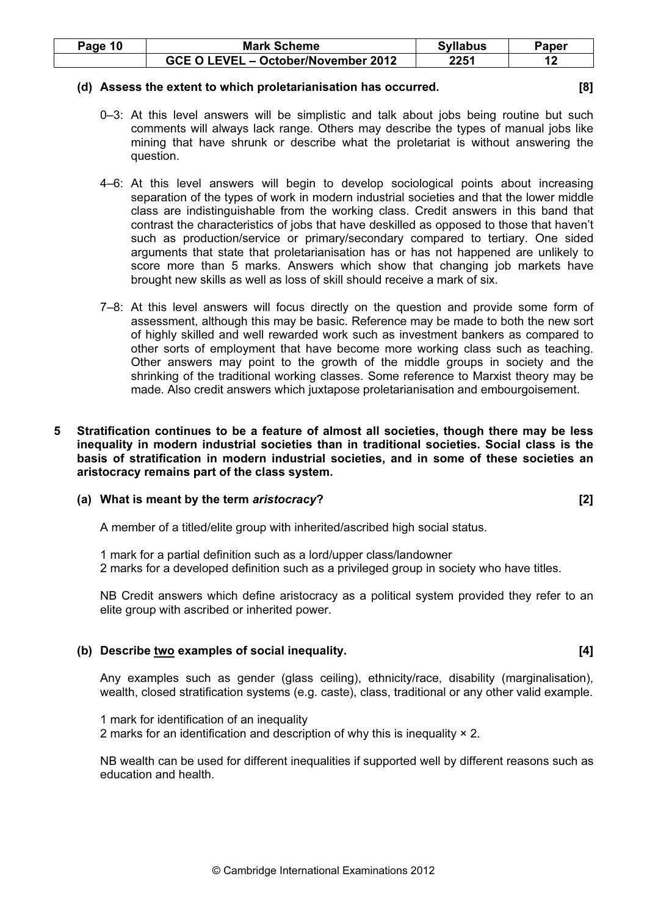| Page 10 | <b>Mark Scheme</b>                  | <b>Syllabus</b> | Paper |
|---------|-------------------------------------|-----------------|-------|
|         | GCE O LEVEL - October/November 2012 | 2251            |       |

#### (d) Assess the extent to which proletarianisation has occurred. [8]

- 0–3: At this level answers will be simplistic and talk about jobs being routine but such comments will always lack range. Others may describe the types of manual jobs like mining that have shrunk or describe what the proletariat is without answering the question.
- 4–6: At this level answers will begin to develop sociological points about increasing separation of the types of work in modern industrial societies and that the lower middle class are indistinguishable from the working class. Credit answers in this band that contrast the characteristics of jobs that have deskilled as opposed to those that haven't such as production/service or primary/secondary compared to tertiary. One sided arguments that state that proletarianisation has or has not happened are unlikely to score more than 5 marks. Answers which show that changing job markets have brought new skills as well as loss of skill should receive a mark of six.
- 7–8: At this level answers will focus directly on the question and provide some form of assessment, although this may be basic. Reference may be made to both the new sort of highly skilled and well rewarded work such as investment bankers as compared to other sorts of employment that have become more working class such as teaching. Other answers may point to the growth of the middle groups in society and the shrinking of the traditional working classes. Some reference to Marxist theory may be made. Also credit answers which juxtapose proletarianisation and embourgoisement.
- 5 Stratification continues to be a feature of almost all societies, though there may be less inequality in modern industrial societies than in traditional societies. Social class is the basis of stratification in modern industrial societies, and in some of these societies an aristocracy remains part of the class system.

# (a) What is meant by the term aristocracy? [2]

A member of a titled/elite group with inherited/ascribed high social status.

 1 mark for a partial definition such as a lord/upper class/landowner 2 marks for a developed definition such as a privileged group in society who have titles.

 NB Credit answers which define aristocracy as a political system provided they refer to an elite group with ascribed or inherited power.

# (b) Describe two examples of social inequality. [4]

 Any examples such as gender (glass ceiling), ethnicity/race, disability (marginalisation), wealth, closed stratification systems (e.g. caste), class, traditional or any other valid example.

 1 mark for identification of an inequality 2 marks for an identification and description of why this is inequality × 2.

 NB wealth can be used for different inequalities if supported well by different reasons such as education and health.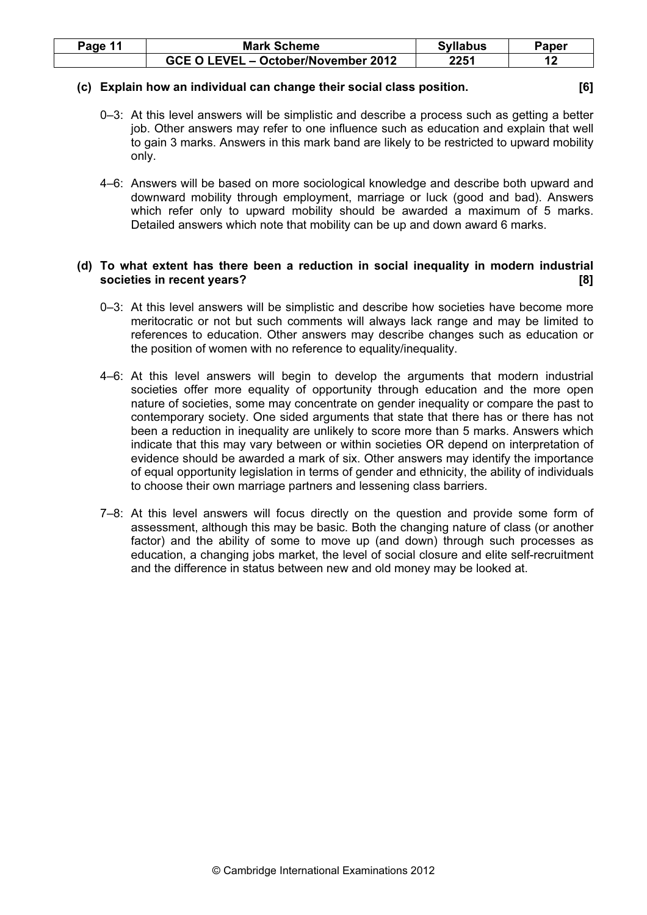| Page 11 | <b>Mark Scheme</b>                  | <b>Syllabus</b> | Paper |
|---------|-------------------------------------|-----------------|-------|
|         | GCE O LEVEL - October/November 2012 | 2251            |       |

# (c) Explain how an individual can change their social class position. [6]

- 0–3: At this level answers will be simplistic and describe a process such as getting a better job. Other answers may refer to one influence such as education and explain that well to gain 3 marks. Answers in this mark band are likely to be restricted to upward mobility only.
- 4–6: Answers will be based on more sociological knowledge and describe both upward and downward mobility through employment, marriage or luck (good and bad). Answers which refer only to upward mobility should be awarded a maximum of 5 marks. Detailed answers which note that mobility can be up and down award 6 marks.

# (d) To what extent has there been a reduction in social inequality in modern industrial societies in recent years? [8]

- 0–3: At this level answers will be simplistic and describe how societies have become more meritocratic or not but such comments will always lack range and may be limited to references to education. Other answers may describe changes such as education or the position of women with no reference to equality/inequality.
- 4–6: At this level answers will begin to develop the arguments that modern industrial societies offer more equality of opportunity through education and the more open nature of societies, some may concentrate on gender inequality or compare the past to contemporary society. One sided arguments that state that there has or there has not been a reduction in inequality are unlikely to score more than 5 marks. Answers which indicate that this may vary between or within societies OR depend on interpretation of evidence should be awarded a mark of six. Other answers may identify the importance of equal opportunity legislation in terms of gender and ethnicity, the ability of individuals to choose their own marriage partners and lessening class barriers.
- 7–8: At this level answers will focus directly on the question and provide some form of assessment, although this may be basic. Both the changing nature of class (or another factor) and the ability of some to move up (and down) through such processes as education, a changing jobs market, the level of social closure and elite self-recruitment and the difference in status between new and old money may be looked at.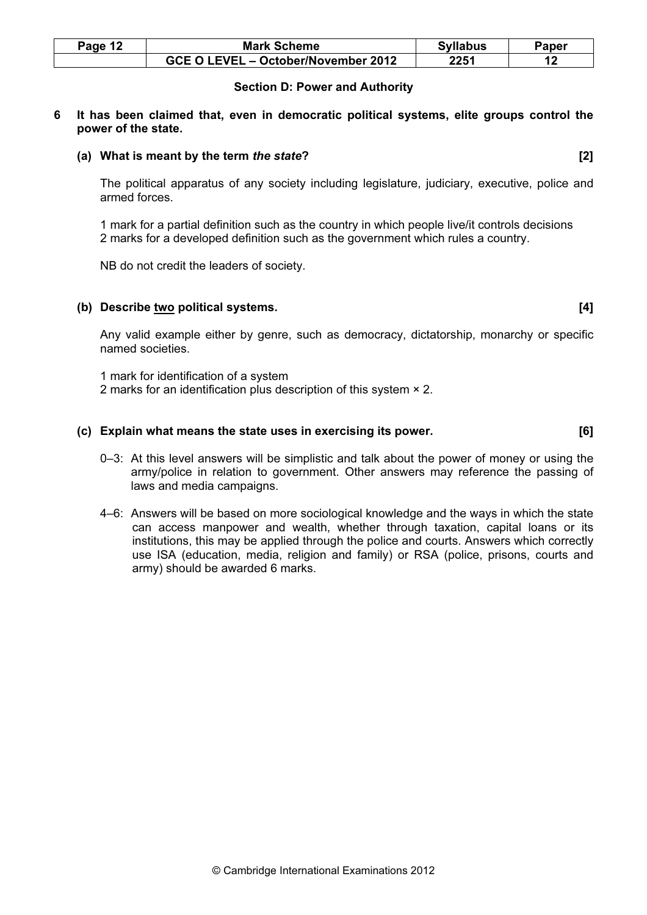| Page 12 | <b>Mark Scheme</b>                  | <b>Syllabus</b> | Paper |
|---------|-------------------------------------|-----------------|-------|
|         | GCE O LEVEL - October/November 2012 | 2251            |       |

# Section D: Power and Authority

#### 6 It has been claimed that, even in democratic political systems, elite groups control the power of the state.

# (a) What is meant by the term the state? [2]

 The political apparatus of any society including legislature, judiciary, executive, police and armed forces.

 1 mark for a partial definition such as the country in which people live/it controls decisions 2 marks for a developed definition such as the government which rules a country.

NB do not credit the leaders of society.

# (b) Describe two political systems. [4]

 Any valid example either by genre, such as democracy, dictatorship, monarchy or specific named societies.

 1 mark for identification of a system 2 marks for an identification plus description of this system × 2.

#### (c) Explain what means the state uses in exercising its power. [6]

- 0–3: At this level answers will be simplistic and talk about the power of money or using the army/police in relation to government. Other answers may reference the passing of laws and media campaigns.
- 4–6: Answers will be based on more sociological knowledge and the ways in which the state can access manpower and wealth, whether through taxation, capital loans or its institutions, this may be applied through the police and courts. Answers which correctly use ISA (education, media, religion and family) or RSA (police, prisons, courts and army) should be awarded 6 marks.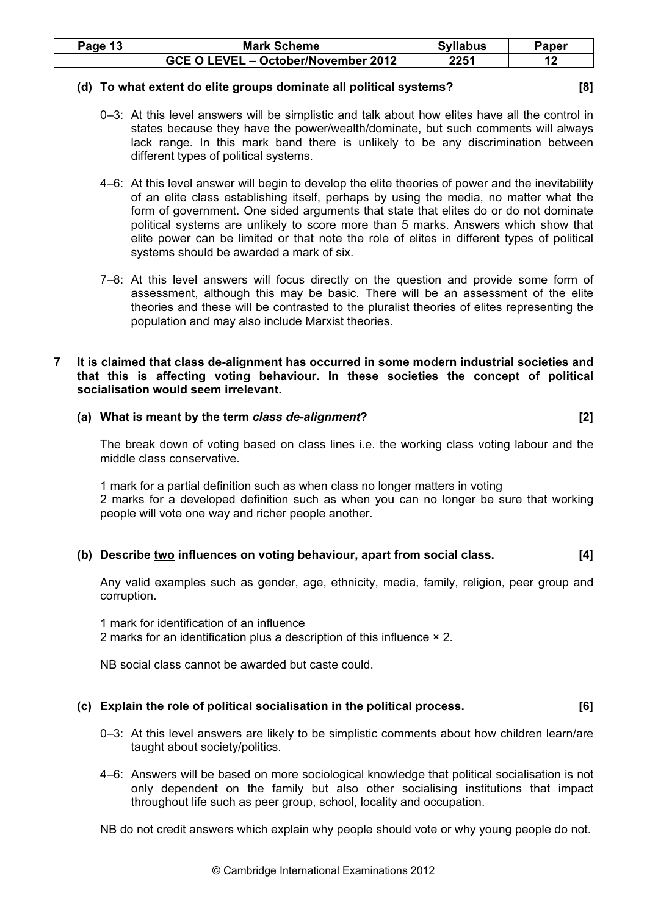| Page 13 | <b>Mark Scheme</b>                  | <b>Syllabus</b> | Paper |
|---------|-------------------------------------|-----------------|-------|
|         | GCE O LEVEL - October/November 2012 | 2251            |       |

#### (d) To what extent do elite groups dominate all political systems? [8]

- 0–3: At this level answers will be simplistic and talk about how elites have all the control in states because they have the power/wealth/dominate, but such comments will always lack range. In this mark band there is unlikely to be any discrimination between different types of political systems.
- 4–6: At this level answer will begin to develop the elite theories of power and the inevitability of an elite class establishing itself, perhaps by using the media, no matter what the form of government. One sided arguments that state that elites do or do not dominate political systems are unlikely to score more than 5 marks. Answers which show that elite power can be limited or that note the role of elites in different types of political systems should be awarded a mark of six.
- 7–8: At this level answers will focus directly on the question and provide some form of assessment, although this may be basic. There will be an assessment of the elite theories and these will be contrasted to the pluralist theories of elites representing the population and may also include Marxist theories.

#### 7 It is claimed that class de-alignment has occurred in some modern industrial societies and that this is affecting voting behaviour. In these societies the concept of political socialisation would seem irrelevant.

# (a) What is meant by the term class de-alignment? [2]

 The break down of voting based on class lines i.e. the working class voting labour and the middle class conservative.

 1 mark for a partial definition such as when class no longer matters in voting 2 marks for a developed definition such as when you can no longer be sure that working people will vote one way and richer people another.

# (b) Describe two influences on voting behaviour, apart from social class. [4]

 Any valid examples such as gender, age, ethnicity, media, family, religion, peer group and corruption.

 1 mark for identification of an influence 2 marks for an identification plus a description of this influence × 2.

NB social class cannot be awarded but caste could.

# (c) Explain the role of political socialisation in the political process. [6]

- 0–3: At this level answers are likely to be simplistic comments about how children learn/are taught about society/politics.
- 4–6: Answers will be based on more sociological knowledge that political socialisation is not only dependent on the family but also other socialising institutions that impact throughout life such as peer group, school, locality and occupation.

NB do not credit answers which explain why people should vote or why young people do not.